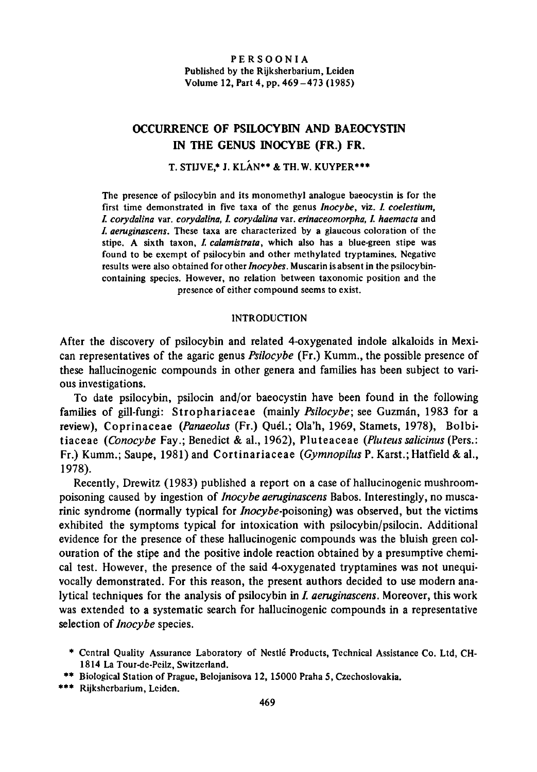PERSOONIA Published by the Rijksherbarium, Leiden Volume 12,Part 4, pp. 469-473 (1985)

# Occurrence of Psilocybin and Baeocystin in the genus Inocybe (Fr.) Fr.

# T. STIJVE.\* J. KLÁN\*\* & TH.W. KUYPER\*\*\*

The presence of psilocybin and its monomethyl analogue baeocystin is for the first time demonstrated in five taxa of the genus Inocybe, viz. I. coelestium, I. corydalina var. corydalina, I. corydalina var. erinaceomorpha, I. haemacta and I. aeruginascens. These taxa are characterized by <sup>a</sup> glaucous coloration of the stipe. A sixth taxon, I. calamistrata, which also has a blue-green stipe was found to be exempt of psilocybin and other methylated tryptamines. Negative results were also obtained for other Inocybes. Muscarin is absent in the psilocybincontaining species. However, no relation between taxonomic position and the presence of either compound seems to exist.

### **INTRODUCTION**

After the discovery of psilocybin and related 4-oxygenated indole alkaloids in Mexican representatives of the agaric genus Psilocybe (Fr.) Kumm., the possible presence of these hallucinogenic compounds in other genera and families has been subject to various investigations.

To date psilocybin, psilocin and/or baeocystin have been found in the following families of gill-fungi: Strophariaceae (mainly Psilocybe; see Guzmán, 1983 for a review), Coprinaceae (Panaeolus (Fr.) Quél.; Ola'h, 1969, Stamets, 1978), Bolbitiaceae (Conocybe Fay.; Benedict & al., 1962), Pluteaceae (Pluteus salicinus (Pers.: Fr.) Kumm.; Saupe, 1981) and Cortinariaceae (Gymnopilus P. Karst.; Hatfield& al., 1978).

Recently, Drewitz (1983) published <sup>a</sup> report on <sup>a</sup> case of hallucinogenic mushroompoisoning caused by ingestion of Inocybe aeruginascens Babos. Interestingly, no muscarinic syndrome (normally typical for *Inocybe-poisoning*) was observed, but the victims exhibited the symptoms typical for intoxication with psilocybin/psilocin. Additional evidence for the presence of these hallucinogenic compounds was the bluish green colouration of the stipe and the positive indole reaction obtained by <sup>a</sup> presumptive chemical test. However, the presence of the said 4-oxygenated tryptamines was not unequivocally demonstrated. For this reason, the present authors decided to use modern analytical techniques for the analysis of psilocybin in I. aeruginascens. Moreover, this work was extended to <sup>a</sup> systematic search for hallucinogenic compounds in <sup>a</sup> representative selection of *Inocybe* species.

- \* Central Quality Assurance Laboratory of Nestle Products, Technical Assistance Co. Ltd, CH-1814 La Tour-de-Peilz, Switzerland.
- \*\* Biological Station of Prague, Belojanisova 12, 15000 Praha 5, Czechoslovakia.
- \*\*\* Rijkshcrbarium, Leiden.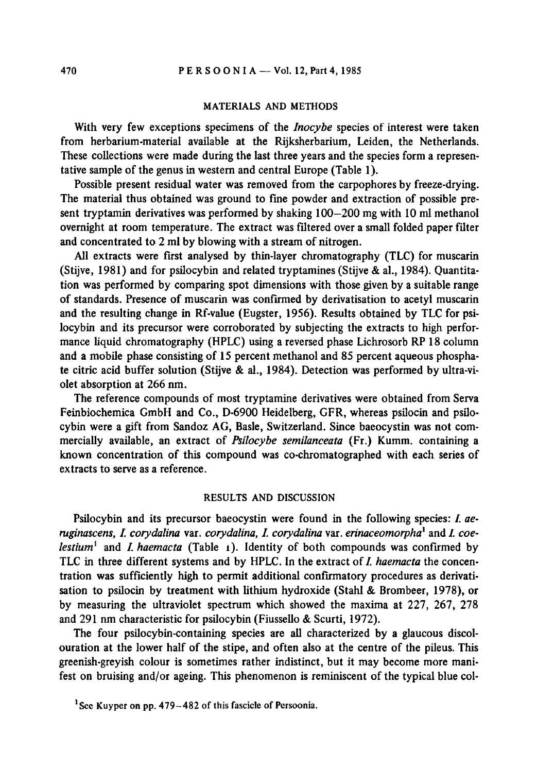#### MATERIALS AND METHODS

With very few exceptions specimens of the *Inocybe* species of interest were taken from herbarium-material available at the Rijksherbarium, Leiden, the Netherlands. These collections were made during the last three years and the species form <sup>a</sup> representative sample of the genus in western and central Europe (Table 1).

Possible present residual water was removed from the carpophores by freeze-drying. The material thus obtained was ground to fine powder and extraction of possible present tryptamin derivatives was performed by shaking 100—200 mg with 10 ml methanol overnight at room temperature. The extract was filtered over <sup>a</sup> small folded paper filter and concentrated to 2 ml by blowing with a stream of nitrogen.

All extracts were first analysed by thin-layer chromatography (TLC) for muscarin (Stijve, 1981) and for psilocybin and related tryptamines (Stijve & al., 1984). Quantitation was performed by comparing spot dimensions with those given by <sup>a</sup> suitable range of standards. Presence of muscarin was confirmed by derivatisation to acetyl muscarin and the resulting change in Rf-value (Eugster, 1956). Results obtained by TLC for psilocybin and its precursor were corroborated by subjecting the extracts to high performance liquid chromatography (HPLC) using <sup>a</sup> reversed phase Lichrosorb RP 18 column and <sup>a</sup> mobile phase consisting of <sup>15</sup> percent methanol and <sup>85</sup> percent aqueous phosphate citric acid buffer solution (Stijve & al., 1984). Detection was performed by ultra-violet absorption at 266 nm.

The reference compounds of most tryptamine derivatives were obtained from Serva Feinbiochemica GmbH and Co., D-6900 Heidelberg, GFR, whereas psilocin and psilocybin were <sup>a</sup> gift from Sandoz AG, Basle, Switzerland. Since baeocystin was not commercially available, an extract of Psilocybe semilanceata (Fr.) Kumm. containing a known concentration of this compound was co-chromatographed with each series of extracts to serve as <sup>a</sup> reference.

## RESULTS AND DISCUSSION

Psilocybin and its precursor baeocystin were found in the following species: I. aeruginascens, I. corydalina var. corydalina, I. corydalina var. erinaceomorpha<sup>1</sup> and I. coelestium<sup>1</sup> and *I. haemacta* (Table 1). Identity of both compounds was confirmed by TLC in three different systems and by HPLC. In the extract of  $I$ , haemacta the concentration was sufficiently high to permit additional confirmatory procedures as derivatisation to psilocin by treatment with lithium hydroxide (Stahl & Brombeer, 1978), or by measuring the ultraviolet spectrum which showed the maxima at 227, 267, 278 and <sup>291</sup> nm characteristic for psilocybin (Fiussello & Scurti, 1972).

The four psilocybin-containing species are all characterized by <sup>a</sup> glaucous discolouration at the lower half of the stipe, and often also at the centre of the pileus. This greenish-greyish colour is sometimes rather indistinct, but it may become more manifest on bruising and/or ageing. This phenomenon is reminiscent of the typical blue col-

<sup>&</sup>lt;sup>1</sup> See Kuyper on pp.  $479-482$  of this fascicle of Persoonia.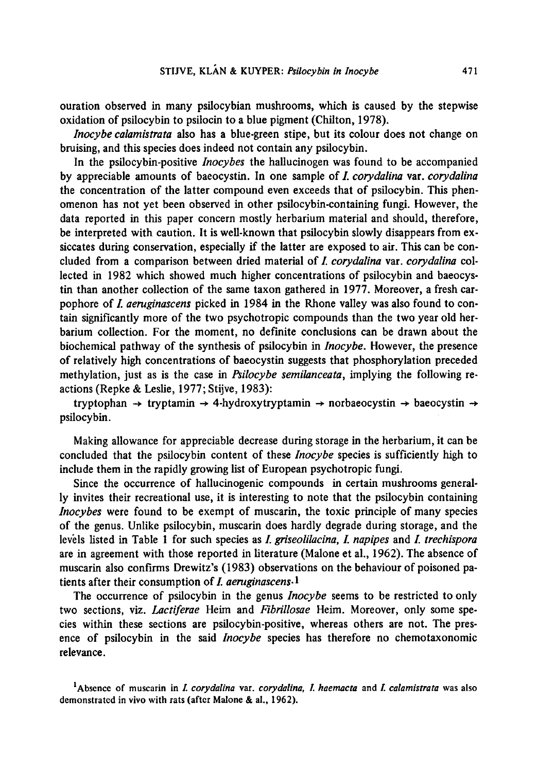ouration observed in many psilocybian mushrooms, which is caused by the stepwise oxidation of psilocybin to psilocin to <sup>a</sup> blue pigment (Chilton, 1978).

Inocybe calamistrata also has <sup>a</sup> blue-green stipe, but its colour does not change on bruising, and this species does indeed not contain any psilocybin.

In the psilocybin-positive *Inocybes* the hallucinogen was found to be accompanied by appreciable amounts of baeocystin. In one sample of *I. corydalina* var. *corydalina* the concentration of the latter compound even exceeds that of psilocybin. This phenomenon has not yet been observed in other psilocybin-containing fungi. However, the data reported in this paper concern mostly herbarium material and should, therefore, be interpreted with caution. It is well-known that psilocybin slowly disappears from exsiccates during conservation, especially if the latter are exposed to air. This can be concluded from <sup>a</sup> comparison between dried material of I. corydalina var. corydalina collected in 1982 which showed much higher concentrations of psilocybin and baeocystin than another collection of the same taxon gathered in 1977. Moreover, <sup>a</sup> fresh carpophore of I. aeruginascens picked in 1984 in the Rhone valley was also found to contain significantly more of the two psychotropic compounds than the two year old herbarium collection. For the moment, no definite conclusions can be drawn about the biochemical pathway of the synthesis of psilocybin in *Inocybe*. However, the presence of relatively high concentrations of baeocystin suggests that phosphorylation preceded methylation, just as is the case in  $P<sub>s</sub>$  in  $C<sub>s</sub>$  is emilanceata, implying the following reactions (Repke & Leslie, 1977;Stijve, 1983):

tryptophan  $\rightarrow$  tryptamin  $\rightarrow$  4-hydroxytryptamin  $\rightarrow$  norbaeocystin  $\rightarrow$  baeocystin  $\rightarrow$ psilocybin.

Making allowance for appreciable decrease during storage in the herbarium, it can be concluded that the psilocybin content of these Inocybe species is sufficiently high to include them in the rapidly growing list of European psychotropic fungi.

Since the occurrence of hallucinogenic compounds in certain mushrooms generally invites their recreational use, it is interesting to note that the psilocybin containing Inocybes were found to be exempt of muscarin, the toxic principle of many species of the genus. Unlike psilocybin, muscarin does hardly degrade during storage, and the levels listed in Table 1 for such species as *I. griseolilacina, I. napipes* and *I. trechispora* are in agreement with those reported in literature(Malone et al., 1962). The absence of muscarin also confirms Drewitz's (1983) observations on the behaviour of poisoned patients after their consumption of  $I$ . aeruginascens.<sup>1</sup>

The occurrence of psilocybin in the genus *Inocybe* seems to be restricted to only two sections, viz. Lactiferae Heim and Fibrillosae Heim. Moreover, only some species within these sections are psilocybin-positive, whereas others are not. The presence of psilocybin in the said *Inocybe* species has therefore no chemotaxonomic relevance.

<sup>&</sup>lt;sup>1</sup>Absence of muscarin in *I. corydalina var. corydalina, I. haemacta* and *I. calamistrata* was also demonstrated in vivo with rats (after Malone & al., 1962).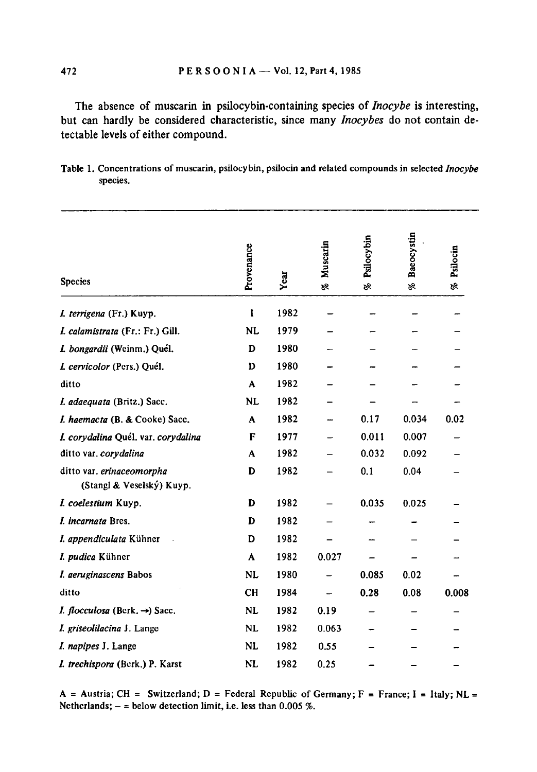The absence of muscarin in psilocybin-containing species of *Inocybe* is interesting, but can hardly be considered characteristic, since many *Inocybes* do not contain detectable levels of either compound.

| Table 1. Concentrations of muscarin, psilocybin, psilocin and related compounds in selected <i>Inocybe</i> |  |  |
|------------------------------------------------------------------------------------------------------------|--|--|
| species.                                                                                                   |  |  |

| <b>Species</b>                                         | Provenance | Year | Muscarin<br>BR. | Psilocybin<br>P8 | Baeocystin<br>P8 | Psilocin<br>9s |
|--------------------------------------------------------|------------|------|-----------------|------------------|------------------|----------------|
| I. terrigena (Fr.) Kuyp.                               | I          | 1982 |                 |                  |                  |                |
| I. calamistrata (Fr.: Fr.) Gill.                       | NL         | 1979 |                 |                  |                  |                |
| I. bongardii (Weinm.) Quél.                            | D          | 1980 |                 |                  |                  |                |
| I. cervicolor (Pers.) Quél.                            | D          | 1980 |                 |                  |                  |                |
| ditto                                                  | A          | 1982 |                 |                  |                  |                |
| I. adaequata (Britz.) Sacc.                            | <b>NL</b>  | 1982 |                 |                  |                  |                |
| I. haemacta (B. & Cooke) Sacc.                         | A          | 1982 |                 | 0.17             | 0.034            | 0.02           |
| I. corydalina Quél. var. corydalina                    | F          | 1977 |                 | 0.011            | 0.007            |                |
| ditto var. corydalina                                  | A          | 1982 |                 | 0.032            | 0.092            |                |
| ditto var. erinaceomorpha<br>(Stangl & Veselský) Kuyp. | D          | 1982 |                 | 0.1              | 0.04             |                |
| I. coelestium Kuyp.                                    | D          | 1982 |                 | 0.035            | 0.025            |                |
| I. incarnata Bres.                                     | D          | 1982 |                 |                  |                  |                |
| I. appendiculata Kühner                                | D          | 1982 |                 |                  |                  |                |
| I. pudica Kühner                                       | A          | 1982 | 0.027           |                  |                  |                |
| I. aeruginascens Babos                                 | <b>NL</b>  | 1980 |                 | 0.085            | 0.02             |                |
| ditto                                                  | <b>CH</b>  | 1984 |                 | 0.28             | 0.08             | 0.008          |
| <i>I. flocculosa</i> (Berk. $\rightarrow$ ) Sacc.      | <b>NL</b>  | 1982 | 0.19            |                  |                  |                |
| I. griseolilacina J. Lange                             | <b>NL</b>  | 1982 | 0.063           |                  |                  |                |
| I. napipes J. Lange                                    | <b>NL</b>  | 1982 | 0.55            |                  |                  |                |
| I. trechispora (Berk.) P. Karst                        | <b>NL</b>  | 1982 | 0.25            |                  |                  |                |

A = Austria; CH = Switzerland; D = Federal Republic of Germany; F = France; I = Italy; NL = Netherlands;  $-$  = below detection limit, i.e. less than  $0.005$ %.